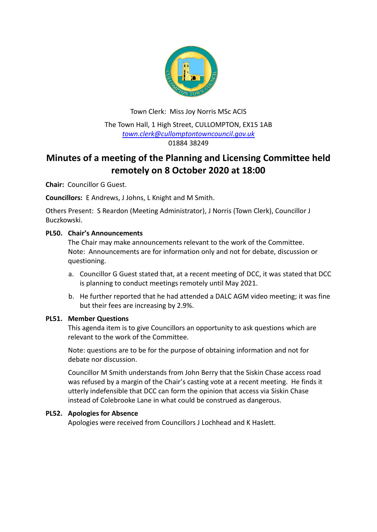

Town Clerk: Miss Joy Norris MSc ACIS The Town Hall, 1 High Street, CULLOMPTON, EX15 1AB *[town.clerk@cullomptontowncouncil.gov.uk](mailto:town.clerk@cullomptontowncouncil.gov.uk)* 01884 38249

# **Minutes of a meeting of the Planning and Licensing Committee held remotely on 8 October 2020 at 18:00**

**Chair:** Councillor G Guest.

**Councillors:** E Andrews, J Johns, L Knight and M Smith.

Others Present: S Reardon (Meeting Administrator), J Norris (Town Clerk), Councillor J Buczkowski.

## **PL50. Chair's Announcements**

The Chair may make announcements relevant to the work of the Committee. Note: Announcements are for information only and not for debate, discussion or questioning.

- a. Councillor G Guest stated that, at a recent meeting of DCC, it was stated that DCC is planning to conduct meetings remotely until May 2021.
- b. He further reported that he had attended a DALC AGM video meeting; it was fine but their fees are increasing by 2.9%.

## **PL51. Member Questions**

This agenda item is to give Councillors an opportunity to ask questions which are relevant to the work of the Committee.

Note: questions are to be for the purpose of obtaining information and not for debate nor discussion.

Councillor M Smith understands from John Berry that the Siskin Chase access road was refused by a margin of the Chair's casting vote at a recent meeting. He finds it utterly indefensible that DCC can form the opinion that access via Siskin Chase instead of Colebrooke Lane in what could be construed as dangerous.

## **PL52. Apologies for Absence**

Apologies were received from Councillors J Lochhead and K Haslett.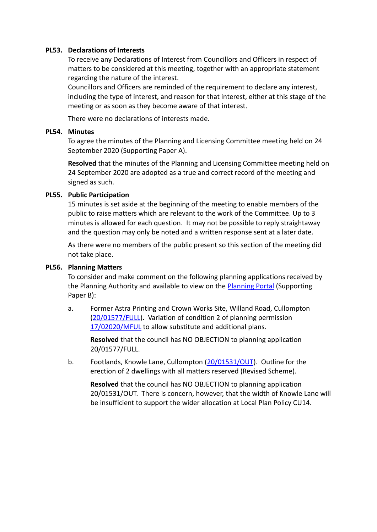## **PL53. Declarations of Interests**

To receive any Declarations of Interest from Councillors and Officers in respect of matters to be considered at this meeting, together with an appropriate statement regarding the nature of the interest.

Councillors and Officers are reminded of the requirement to declare any interest, including the type of interest, and reason for that interest, either at this stage of the meeting or as soon as they become aware of that interest.

There were no declarations of interests made.

#### **PL54. Minutes**

To agree the minutes of the Planning and Licensing Committee meeting held on 24 September 2020 (Supporting Paper A).

**Resolved** that the minutes of the Planning and Licensing Committee meeting held on 24 September 2020 are adopted as a true and correct record of the meeting and signed as such.

#### **PL55. Public Participation**

15 minutes is set aside at the beginning of the meeting to enable members of the public to raise matters which are relevant to the work of the Committee. Up to 3 minutes is allowed for each question. It may not be possible to reply straightaway and the question may only be noted and a written response sent at a later date.

As there were no members of the public present so this section of the meeting did not take place.

#### **PL56. Planning Matters**

To consider and make comment on the following planning applications received by the Planning Authority and available to view on the [Planning Portal](https://planning.middevon.gov.uk/online-applications/applicationDetails.do?activeTab=documents&keyVal=QEYF1XKS05K00) (Supporting Paper B):

a. Former Astra Printing and Crown Works Site, Willand Road, Cullompton [\(20/01577/FULL\)](https://planning.middevon.gov.uk/online-applications/applicationDetails.do?activeTab=documents&keyVal=QHEV2FKS07T00). Variation of condition 2 of planning permission [17/02020/MFUL](https://planning.middevon.gov.uk/online-applications/applicationDetails.do?activeTab=documents&keyVal=P1B05EKS02T00) to allow substitute and additional plans.

**Resolved** that the council has NO OBJECTION to planning application 20/01577/FULL.

b. Footlands, Knowle Lane, Cullompton [\(20/01531/OUT\)](https://planning.middevon.gov.uk/online-applications/applicationDetails.do?activeTab=documents&keyVal=QH3YL2KS05K00). Outline for the erection of 2 dwellings with all matters reserved (Revised Scheme).

**Resolved** that the council has NO OBJECTION to planning application 20/01531/OUT. There is concern, however, that the width of Knowle Lane will be insufficient to support the wider allocation at Local Plan Policy CU14.